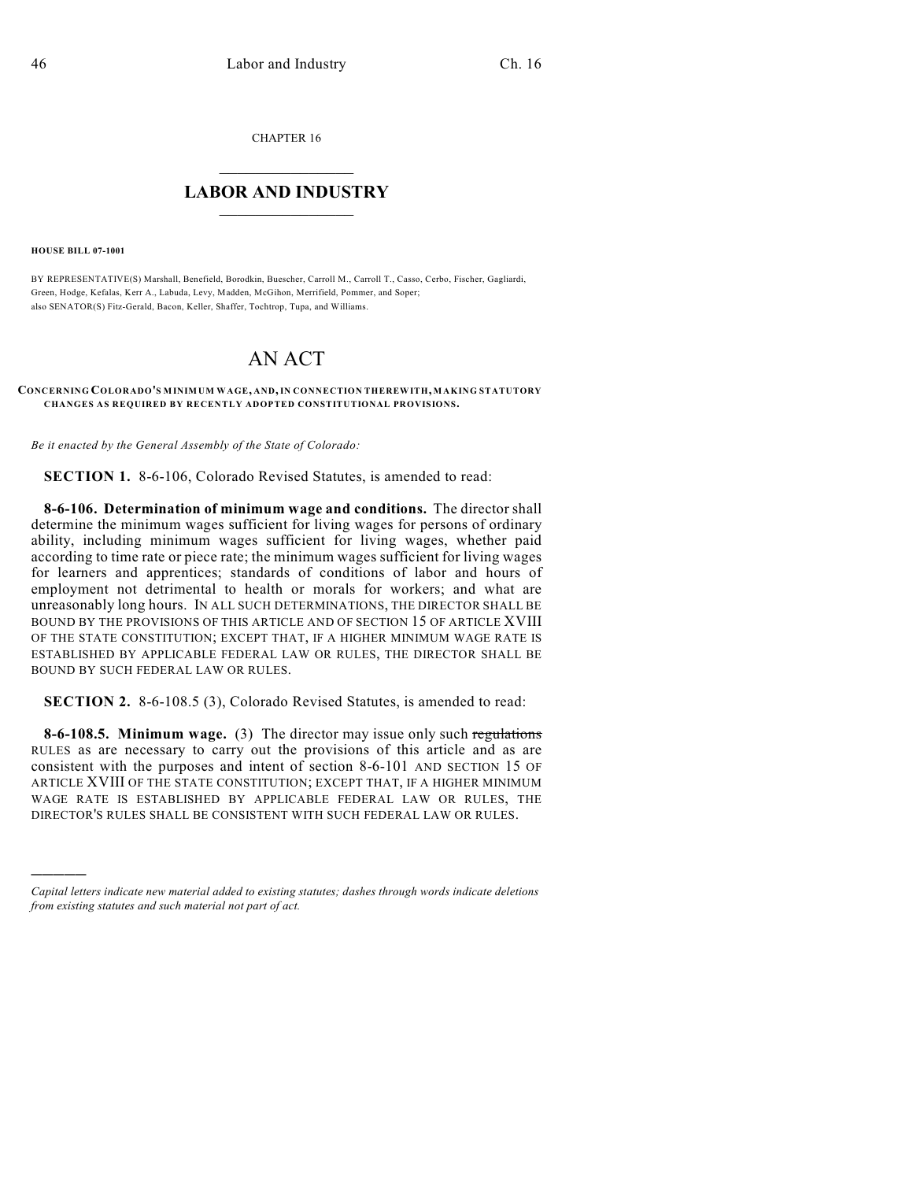CHAPTER 16

## $\mathcal{L}_\text{max}$  . The set of the set of the set of the set of the set of the set of the set of the set of the set of the set of the set of the set of the set of the set of the set of the set of the set of the set of the set **LABOR AND INDUSTRY**  $\frac{1}{\sqrt{2}}$  ,  $\frac{1}{\sqrt{2}}$  ,  $\frac{1}{\sqrt{2}}$  ,  $\frac{1}{\sqrt{2}}$  ,  $\frac{1}{\sqrt{2}}$  ,  $\frac{1}{\sqrt{2}}$

**HOUSE BILL 07-1001**

)))))

BY REPRESENTATIVE(S) Marshall, Benefield, Borodkin, Buescher, Carroll M., Carroll T., Casso, Cerbo, Fischer, Gagliardi, Green, Hodge, Kefalas, Kerr A., Labuda, Levy, Madden, McGihon, Merrifield, Pommer, and Soper; also SENATOR(S) Fitz-Gerald, Bacon, Keller, Shaffer, Tochtrop, Tupa, and Williams.

## AN ACT

## **CONCERNING COLORADO'S MINIMUM WAGE, AND, IN CONNECTION THEREWITH, MAKING STATUTORY CHANGES AS REQUIRED BY RECENTLY ADOPTED CONSTITUTIONAL PROVISIONS.**

*Be it enacted by the General Assembly of the State of Colorado:*

**SECTION 1.** 8-6-106, Colorado Revised Statutes, is amended to read:

**8-6-106. Determination of minimum wage and conditions.** The director shall determine the minimum wages sufficient for living wages for persons of ordinary ability, including minimum wages sufficient for living wages, whether paid according to time rate or piece rate; the minimum wages sufficient for living wages for learners and apprentices; standards of conditions of labor and hours of employment not detrimental to health or morals for workers; and what are unreasonably long hours. IN ALL SUCH DETERMINATIONS, THE DIRECTOR SHALL BE BOUND BY THE PROVISIONS OF THIS ARTICLE AND OF SECTION 15 OF ARTICLE XVIII OF THE STATE CONSTITUTION; EXCEPT THAT, IF A HIGHER MINIMUM WAGE RATE IS ESTABLISHED BY APPLICABLE FEDERAL LAW OR RULES, THE DIRECTOR SHALL BE BOUND BY SUCH FEDERAL LAW OR RULES.

**SECTION 2.** 8-6-108.5 (3), Colorado Revised Statutes, is amended to read:

**8-6-108.5. Minimum wage.** (3) The director may issue only such regulations RULES as are necessary to carry out the provisions of this article and as are consistent with the purposes and intent of section 8-6-101 AND SECTION 15 OF ARTICLE XVIII OF THE STATE CONSTITUTION; EXCEPT THAT, IF A HIGHER MINIMUM WAGE RATE IS ESTABLISHED BY APPLICABLE FEDERAL LAW OR RULES, THE DIRECTOR'S RULES SHALL BE CONSISTENT WITH SUCH FEDERAL LAW OR RULES.

*Capital letters indicate new material added to existing statutes; dashes through words indicate deletions from existing statutes and such material not part of act.*